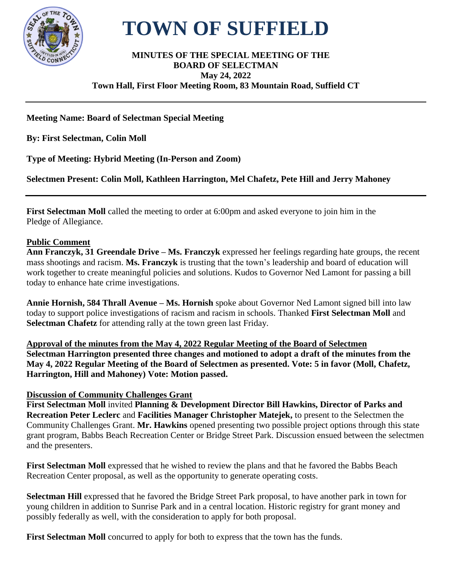

# **TOWN OF SUFFIELD**

#### **MINUTES OF THE SPECIAL MEETING OF THE BOARD OF SELECTMAN May 24, 2022 Town Hall, First Floor Meeting Room, 83 Mountain Road, Suffield CT**

# **Meeting Name: Board of Selectman Special Meeting**

**By: First Selectman, Colin Moll**

**Type of Meeting: Hybrid Meeting (In-Person and Zoom)**

**Selectmen Present: Colin Moll, Kathleen Harrington, Mel Chafetz, Pete Hill and Jerry Mahoney** 

**First Selectman Moll** called the meeting to order at 6:00pm and asked everyone to join him in the Pledge of Allegiance.

### **Public Comment**

**Ann Franczyk, 31 Greendale Drive – Ms. Franczyk** expressed her feelings regarding hate groups, the recent mass shootings and racism. **Ms. Franczyk** is trusting that the town's leadership and board of education will work together to create meaningful policies and solutions. Kudos to Governor Ned Lamont for passing a bill today to enhance hate crime investigations.

**Annie Hornish, 584 Thrall Avenue – Ms. Hornish** spoke about Governor Ned Lamont signed bill into law today to support police investigations of racism and racism in schools. Thanked **First Selectman Moll** and **Selectman Chafetz** for attending rally at the town green last Friday.

**Approval of the minutes from the May 4, 2022 Regular Meeting of the Board of Selectmen Selectman Harrington presented three changes and motioned to adopt a draft of the minutes from the May 4, 2022 Regular Meeting of the Board of Selectmen as presented. Vote: 5 in favor (Moll, Chafetz, Harrington, Hill and Mahoney) Vote: Motion passed.**

## **Discussion of Community Challenges Grant**

**First Selectman Moll** invited **Planning & Development Director Bill Hawkins, Director of Parks and Recreation Peter Leclerc** and **Facilities Manager Christopher Matejek,** to present to the Selectmen the Community Challenges Grant. **Mr. Hawkins** opened presenting two possible project options through this state grant program, Babbs Beach Recreation Center or Bridge Street Park. Discussion ensued between the selectmen and the presenters.

**First Selectman Moll** expressed that he wished to review the plans and that he favored the Babbs Beach Recreation Center proposal, as well as the opportunity to generate operating costs.

**Selectman Hill** expressed that he favored the Bridge Street Park proposal, to have another park in town for young children in addition to Sunrise Park and in a central location. Historic registry for grant money and possibly federally as well, with the consideration to apply for both proposal.

**First Selectman Moll** concurred to apply for both to express that the town has the funds.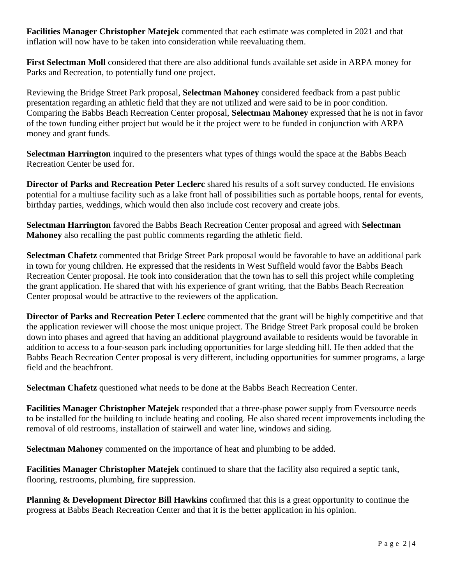**Facilities Manager Christopher Matejek** commented that each estimate was completed in 2021 and that inflation will now have to be taken into consideration while reevaluating them.

**First Selectman Moll** considered that there are also additional funds available set aside in ARPA money for Parks and Recreation, to potentially fund one project.

Reviewing the Bridge Street Park proposal, **Selectman Mahoney** considered feedback from a past public presentation regarding an athletic field that they are not utilized and were said to be in poor condition. Comparing the Babbs Beach Recreation Center proposal, **Selectman Mahoney** expressed that he is not in favor of the town funding either project but would be it the project were to be funded in conjunction with ARPA money and grant funds.

**Selectman Harrington** inquired to the presenters what types of things would the space at the Babbs Beach Recreation Center be used for.

**Director of Parks and Recreation Peter Leclerc** shared his results of a soft survey conducted. He envisions potential for a multiuse facility such as a lake front hall of possibilities such as portable hoops, rental for events, birthday parties, weddings, which would then also include cost recovery and create jobs.

**Selectman Harrington** favored the Babbs Beach Recreation Center proposal and agreed with **Selectman Mahoney** also recalling the past public comments regarding the athletic field.

**Selectman Chafetz** commented that Bridge Street Park proposal would be favorable to have an additional park in town for young children. He expressed that the residents in West Suffield would favor the Babbs Beach Recreation Center proposal. He took into consideration that the town has to sell this project while completing the grant application. He shared that with his experience of grant writing, that the Babbs Beach Recreation Center proposal would be attractive to the reviewers of the application.

**Director of Parks and Recreation Peter Leclerc** commented that the grant will be highly competitive and that the application reviewer will choose the most unique project. The Bridge Street Park proposal could be broken down into phases and agreed that having an additional playground available to residents would be favorable in addition to access to a four-season park including opportunities for large sledding hill. He then added that the Babbs Beach Recreation Center proposal is very different, including opportunities for summer programs, a large field and the beachfront.

**Selectman Chafetz** questioned what needs to be done at the Babbs Beach Recreation Center.

**Facilities Manager Christopher Matejek** responded that a three-phase power supply from Eversource needs to be installed for the building to include heating and cooling. He also shared recent improvements including the removal of old restrooms, installation of stairwell and water line, windows and siding.

**Selectman Mahoney** commented on the importance of heat and plumbing to be added.

**Facilities Manager Christopher Matejek** continued to share that the facility also required a septic tank, flooring, restrooms, plumbing, fire suppression.

**Planning & Development Director Bill Hawkins** confirmed that this is a great opportunity to continue the progress at Babbs Beach Recreation Center and that it is the better application in his opinion.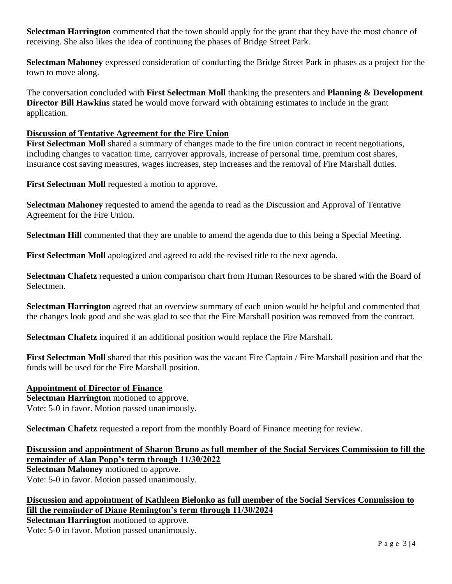**Selectman Harrington** commented that the town should apply for the grant that they have the most chance of receiving. She also likes the idea of continuing the phases of Bridge Street Park.

**Selectman Mahoney** expressed consideration of conducting the Bridge Street Park in phases as a project for the town to move along.

The conversation concluded with **First Selectman Moll** thanking the presenters and **Planning & Development Director Bill Hawkins** stated he would move forward with obtaining estimates to include in the grant application.

## **Discussion of Tentative Agreement for the Fire Union**

**First Selectman Moll** shared a summary of changes made to the fire union contract in recent negotiations, including changes to vacation time, carryover approvals, increase of personal time, premium cost shares, insurance cost saving measures, wages increases, step increases and the removal of Fire Marshall duties.

**First Selectman Moll** requested a motion to approve.

**Selectman Mahoney** requested to amend the agenda to read as the Discussion and Approval of Tentative Agreement for the Fire Union.

**Selectman Hill** commented that they are unable to amend the agenda due to this being a Special Meeting.

First Selectman Moll apologized and agreed to add the revised title to the next agenda.

**Selectman Chafetz** requested a union comparison chart from Human Resources to be shared with the Board of Selectmen.

**Selectman Harrington** agreed that an overview summary of each union would be helpful and commented that the changes look good and she was glad to see that the Fire Marshall position was removed from the contract.

**Selectman Chafetz** inquired if an additional position would replace the Fire Marshall.

**First Selectman Moll** shared that this position was the vacant Fire Captain / Fire Marshall position and that the funds will be used for the Fire Marshall position.

#### **Appointment of Director of Finance**

**Selectman Harrington** motioned to approve. Vote: 5-0 in favor. Motion passed unanimously.

**Selectman Chafetz** requested a report from the monthly Board of Finance meeting for review.

**Discussion and appointment of Sharon Bruno as full member of the Social Services Commission to fill the remainder of Alan Popp's term through 11/30/2022**

**Selectman Mahoney** motioned to approve.

Vote: 5-0 in favor. Motion passed unanimously.

## **Discussion and appointment of Kathleen Bielonko as full member of the Social Services Commission to fill the remainder of Diane Remington's term through 11/30/2024**

**Selectman Harrington** motioned to approve. Vote: 5-0 in favor. Motion passed unanimously.